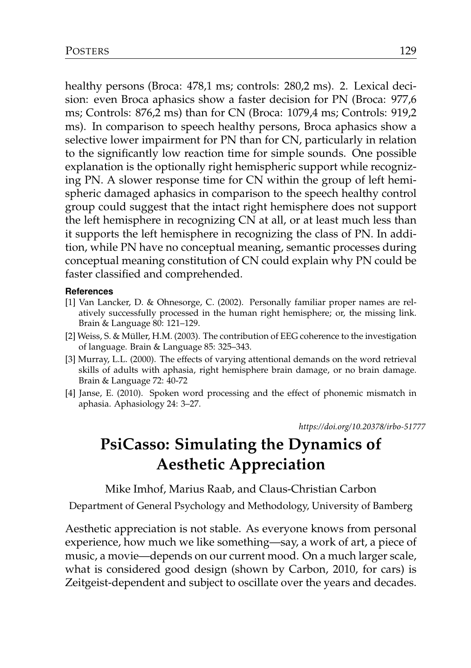healthy persons (Broca: 478,1 ms; controls: 280,2 ms). 2. Lexical decision: even Broca aphasics show a faster decision for PN (Broca: 977,6 ms; Controls: 876,2 ms) than for CN (Broca: 1079,4 ms; Controls: 919,2 ms). In comparison to speech healthy persons, Broca aphasics show a selective lower impairment for PN than for CN, particularly in relation to the significantly low reaction time for simple sounds. One possible explanation is the optionally right hemispheric support while recognizing PN. A slower response time for CN within the group of left hemispheric damaged aphasics in comparison to the speech healthy control group could suggest that the intact right hemisphere does not support the left hemisphere in recognizing CN at all, or at least much less than it supports the left hemisphere in recognizing the class of PN. In addition, while PN have no conceptual meaning, semantic processes during conceptual meaning constitution of CN could explain why PN could be faster classified and comprehended.

## **References**

- [1] Van Lancker, D. & Ohnesorge, C. (2002). Personally familiar proper names are relatively successfully processed in the human right hemisphere; or, the missing link. Brain & Language 80: 121–129.
- [2] Weiss, S. & Müller, H.M. (2003). The contribution of EEG coherence to the investigation of language. Brain & Language 85: 325–343.
- [3] Murray, L.L. (2000). The effects of varying attentional demands on the word retrieval skills of adults with aphasia, right hemisphere brain damage, or no brain damage. Brain & Language 72: 40-72
- [4] Janse, E. (2010). Spoken word processing and the effect of phonemic mismatch in aphasia. Aphasiology 24: 3–27.

*https://doi.org/10.20378/irbo-51777*

## **PsiCasso: Simulating the Dynamics of Aesthetic Appreciation**

Mike Imhof, Marius Raab, and Claus-Christian Carbon

Department of General Psychology and Methodology, University of Bamberg

Aesthetic appreciation is not stable. As everyone knows from personal experience, how much we like something—say, a work of art, a piece of music, a movie—depends on our current mood. On a much larger scale, what is considered good design (shown by Carbon, 2010, for cars) is Zeitgeist-dependent and subject to oscillate over the years and decades.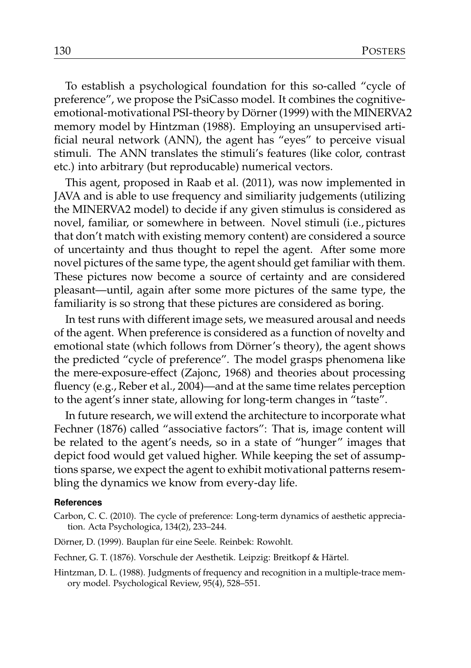To establish a psychological foundation for this so-called "cycle of preference", we propose the PsiCasso model. It combines the cognitiveemotional-motivational PSI-theory by Dörner (1999) with the MINERVA2 memory model by Hintzman (1988). Employing an unsupervised artificial neural network (ANN), the agent has "eyes" to perceive visual stimuli. The ANN translates the stimuli's features (like color, contrast etc.) into arbitrary (but reproducable) numerical vectors.

This agent, proposed in Raab et al. (2011), was now implemented in JAVA and is able to use frequency and similiarity judgements (utilizing the MINERVA2 model) to decide if any given stimulus is considered as novel, familiar, or somewhere in between. Novel stimuli (i.e., pictures that don't match with existing memory content) are considered a source of uncertainty and thus thought to repel the agent. After some more novel pictures of the same type, the agent should get familiar with them. These pictures now become a source of certainty and are considered pleasant—until, again after some more pictures of the same type, the familiarity is so strong that these pictures are considered as boring.

In test runs with different image sets, we measured arousal and needs of the agent. When preference is considered as a function of novelty and emotional state (which follows from Dörner's theory), the agent shows the predicted "cycle of preference". The model grasps phenomena like the mere-exposure-effect (Zajonc, 1968) and theories about processing fluency (e.g., Reber et al., 2004)—and at the same time relates perception to the agent's inner state, allowing for long-term changes in "taste".

In future research, we will extend the architecture to incorporate what Fechner (1876) called "associative factors": That is, image content will be related to the agent's needs, so in a state of "hunger" images that depict food would get valued higher. While keeping the set of assumptions sparse, we expect the agent to exhibit motivational patterns resembling the dynamics we know from every-day life.

## **References**

- Carbon, C. C. (2010). The cycle of preference: Long-term dynamics of aesthetic appreciation. Acta Psychologica, 134(2), 233–244.
- Dörner, D. (1999). Bauplan für eine Seele. Reinbek: Rowohlt.
- Fechner, G. T. (1876). Vorschule der Aesthetik. Leipzig: Breitkopf & Härtel.
- Hintzman, D. L. (1988). Judgments of frequency and recognition in a multiple-trace memory model. Psychological Review, 95(4), 528–551.